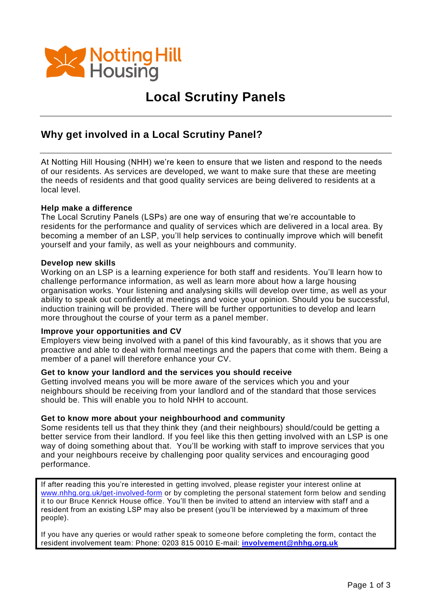

## **Local Scrutiny Panels**

### **Why get involved in a Local Scrutiny Panel?**

At Notting Hill Housing (NHH) we're keen to ensure that we listen and respond to the needs of our residents. As services are developed, we want to make sure that these are meeting the needs of residents and that good quality services are being delivered to residents at a local level.

#### **Help make a difference**

The Local Scrutiny Panels (LSPs) are one way of ensuring that we're accountable to residents for the performance and quality of services which are delivered in a local area. By becoming a member of an LSP, you'll help services to continually improve which will benefit yourself and your family, as well as your neighbours and community.

#### **Develop new skills**

Working on an LSP is a learning experience for both staff and residents. You'll learn how to challenge performance information, as well as learn more about how a large housing organisation works. Your listening and analysing skills will develop over time, as well as your ability to speak out confidently at meetings and voice your opinion. Should you be successful, induction training will be provided. There will be further opportunities to develop and learn more throughout the course of your term as a panel member.

#### **Improve your opportunities and CV**

Employers view being involved with a panel of this kind favourably, as it shows that you are proactive and able to deal with formal meetings and the papers that come with them. Being a member of a panel will therefore enhance your CV.

#### **Get to know your landlord and the services you should receive**

Getting involved means you will be more aware of the services which you and your neighbours should be receiving from your landlord and of the standard that those services should be. This will enable you to hold NHH to account.

#### **Get to know more about your neighbourhood and community**

Some residents tell us that they think they (and their neighbours) should/could be getting a better service from their landlord. If you feel like this then getting involved with an LSP is one way of doing something about that. You'll be working with staff to improve services that you and your neighbours receive by challenging poor quality services and encouraging good performance.

If after reading this you're interested in getting involved, please register your interest online at [www.nhhg.org.uk/get-involved-form](http://www.nhhg.org.uk/get-involved-form) or by completing the personal statement form below and sending it to our Bruce Kenrick House office. You'll then be invited to attend an interview with staff and a resident from an existing LSP may also be present (you'll be interviewed by a maximum of three people).

If you have any queries or would rather speak to someone before completing the form, contact the resident involvement team: Phone: 0203 815 0010 E-mail: **[involvement@nhhg.org.uk](mailto:involvement@nhhg.org.uk)**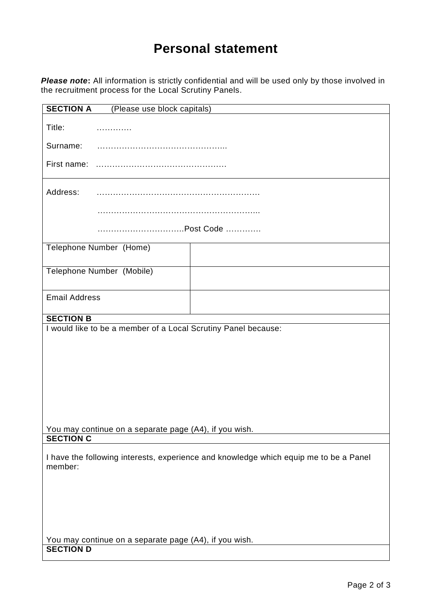# **Personal statement**

*Please note***:** All information is strictly confidential and will be used only by those involved in the recruitment process for the Local Scrutiny Panels.

| <b>SECTION A</b><br>(Please use block capitals)                                                  |                           |  |
|--------------------------------------------------------------------------------------------------|---------------------------|--|
| Title:                                                                                           | .                         |  |
| Surname:                                                                                         |                           |  |
| First name:                                                                                      |                           |  |
| Address:                                                                                         |                           |  |
|                                                                                                  |                           |  |
|                                                                                                  |                           |  |
|                                                                                                  | Telephone Number (Home)   |  |
|                                                                                                  | Telephone Number (Mobile) |  |
| <b>Email Address</b>                                                                             |                           |  |
| <b>SECTION B</b>                                                                                 |                           |  |
| I would like to be a member of a Local Scrutiny Panel because:                                   |                           |  |
|                                                                                                  |                           |  |
|                                                                                                  |                           |  |
|                                                                                                  |                           |  |
|                                                                                                  |                           |  |
|                                                                                                  |                           |  |
|                                                                                                  |                           |  |
|                                                                                                  |                           |  |
|                                                                                                  |                           |  |
| You may continue on a separate page (A4), if you wish.                                           |                           |  |
| <b>SECTION C</b>                                                                                 |                           |  |
| I have the following interests, experience and knowledge which equip me to be a Panel<br>member: |                           |  |
|                                                                                                  |                           |  |
|                                                                                                  |                           |  |
|                                                                                                  |                           |  |
|                                                                                                  |                           |  |
|                                                                                                  |                           |  |
|                                                                                                  |                           |  |
| You may continue on a separate page (A4), if you wish.<br><b>SECTION D</b>                       |                           |  |
|                                                                                                  |                           |  |